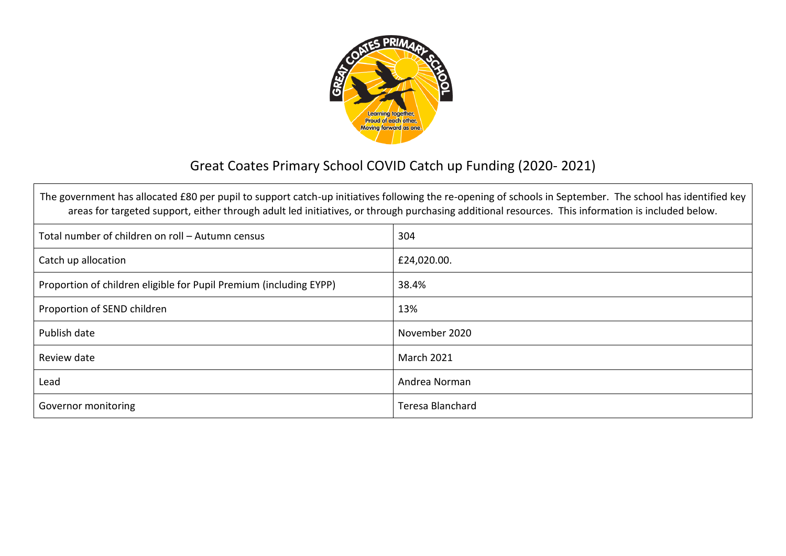

## Great Coates Primary School COVID Catch up Funding (2020- 2021)

The government has allocated £80 per pupil to support catch-up initiatives following the re-opening of schools in September. The school has identified key areas for targeted support, either through adult led initiatives, or through purchasing additional resources. This information is included below.

| Total number of children on roll - Autumn census                   | 304              |
|--------------------------------------------------------------------|------------------|
| Catch up allocation                                                | £24,020.00.      |
| Proportion of children eligible for Pupil Premium (including EYPP) | 38.4%            |
| Proportion of SEND children                                        | 13%              |
| Publish date                                                       | November 2020    |
| Review date                                                        | March 2021       |
| Lead                                                               | Andrea Norman    |
| Governor monitoring                                                | Teresa Blanchard |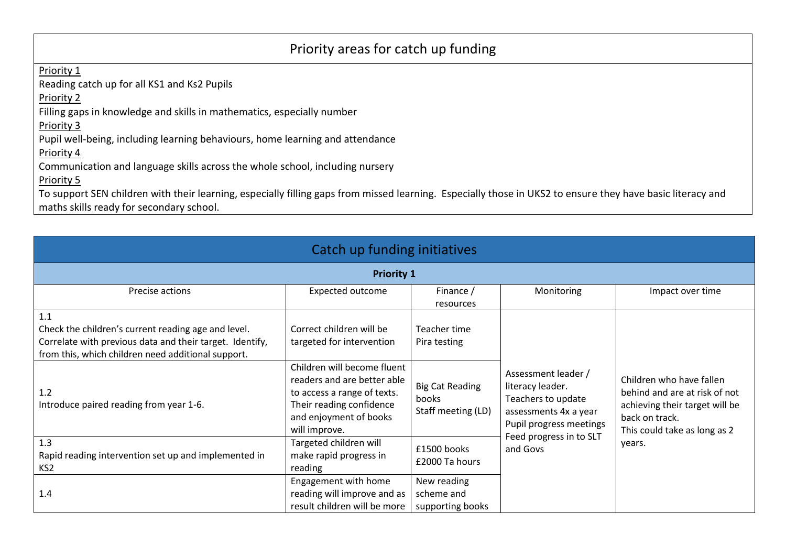## Priority areas for catch up funding

Priority 1

Reading catch up for all KS1 and Ks2 Pupils

Priority 2

Filling gaps in knowledge and skills in mathematics, especially number

Priority 3

Pupil well-being, including learning behaviours, home learning and attendance

Priority 4

Communication and language skills across the whole school, including nursery

Priority 5

To support SEN children with their learning, especially filling gaps from missed learning. Especially those in UKS2 to ensure they have basic literacy and maths skills ready for secondary school.

| Catch up funding initiatives                                                                                                                                                 |                                                                                                                                                                  |                                                       |                                                                                                                                                          |                                                                                                                                                         |  |  |  |
|------------------------------------------------------------------------------------------------------------------------------------------------------------------------------|------------------------------------------------------------------------------------------------------------------------------------------------------------------|-------------------------------------------------------|----------------------------------------------------------------------------------------------------------------------------------------------------------|---------------------------------------------------------------------------------------------------------------------------------------------------------|--|--|--|
| <b>Priority 1</b>                                                                                                                                                            |                                                                                                                                                                  |                                                       |                                                                                                                                                          |                                                                                                                                                         |  |  |  |
| Precise actions                                                                                                                                                              | <b>Expected outcome</b>                                                                                                                                          | Finance /<br>resources                                | Monitoring                                                                                                                                               | Impact over time                                                                                                                                        |  |  |  |
| 1.1<br>Check the children's current reading age and level.<br>Correlate with previous data and their target. Identify,<br>from this, which children need additional support. | Correct children will be<br>targeted for intervention                                                                                                            | Teacher time<br>Pira testing                          | Assessment leader /<br>literacy leader.<br>Teachers to update<br>assessments 4x a year<br>Pupil progress meetings<br>Feed progress in to SLT<br>and Govs | Children who have fallen<br>behind and are at risk of not<br>achieving their target will be<br>back on track.<br>This could take as long as 2<br>years. |  |  |  |
| 1.2<br>Introduce paired reading from year 1-6.                                                                                                                               | Children will become fluent<br>readers and are better able<br>to access a range of texts.<br>Their reading confidence<br>and enjoyment of books<br>will improve. | <b>Big Cat Reading</b><br>books<br>Staff meeting (LD) |                                                                                                                                                          |                                                                                                                                                         |  |  |  |
| 1.3<br>Rapid reading intervention set up and implemented in<br>KS <sub>2</sub>                                                                                               | Targeted children will<br>make rapid progress in<br>reading                                                                                                      | £1500 books<br>£2000 Ta hours                         |                                                                                                                                                          |                                                                                                                                                         |  |  |  |
| 1.4                                                                                                                                                                          | Engagement with home<br>reading will improve and as<br>result children will be more                                                                              | New reading<br>scheme and<br>supporting books         |                                                                                                                                                          |                                                                                                                                                         |  |  |  |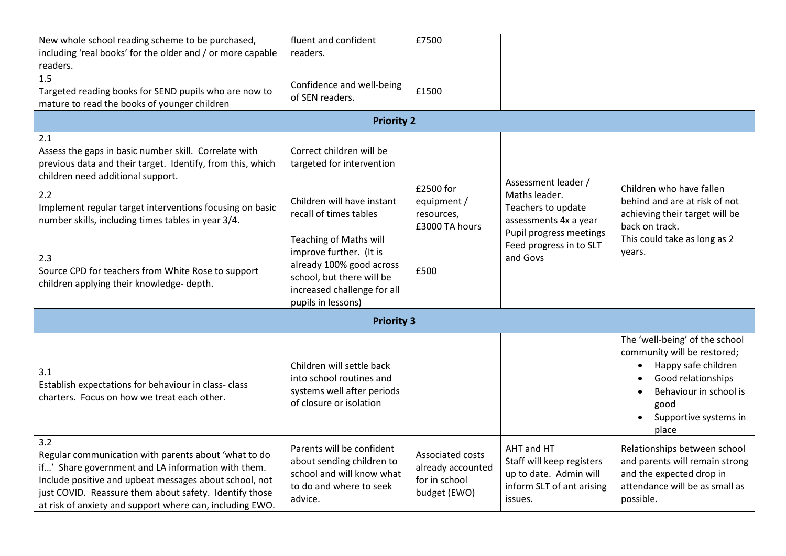| New whole school reading scheme to be purchased,<br>including 'real books' for the older and / or more capable<br>readers.                                                                                                                                                                        | fluent and confident<br>readers.                                                                                                                                       | £7500                                                                  |                                                                                                                                |                                                                                                                                                                                |  |  |
|---------------------------------------------------------------------------------------------------------------------------------------------------------------------------------------------------------------------------------------------------------------------------------------------------|------------------------------------------------------------------------------------------------------------------------------------------------------------------------|------------------------------------------------------------------------|--------------------------------------------------------------------------------------------------------------------------------|--------------------------------------------------------------------------------------------------------------------------------------------------------------------------------|--|--|
| 1.5<br>Targeted reading books for SEND pupils who are now to<br>mature to read the books of younger children                                                                                                                                                                                      | Confidence and well-being<br>of SEN readers.                                                                                                                           | £1500                                                                  |                                                                                                                                |                                                                                                                                                                                |  |  |
| <b>Priority 2</b>                                                                                                                                                                                                                                                                                 |                                                                                                                                                                        |                                                                        |                                                                                                                                |                                                                                                                                                                                |  |  |
| 2.1<br>Assess the gaps in basic number skill. Correlate with<br>previous data and their target. Identify, from this, which<br>children need additional support.                                                                                                                                   | Correct children will be<br>targeted for intervention                                                                                                                  |                                                                        | Assessment leader /                                                                                                            |                                                                                                                                                                                |  |  |
| 2.2<br>Implement regular target interventions focusing on basic<br>number skills, including times tables in year 3/4.                                                                                                                                                                             | Children will have instant<br>recall of times tables                                                                                                                   | £2500 for<br>equipment /<br>resources,<br>£3000 TA hours               | Maths leader.<br>Teachers to update<br>assessments 4x a year<br>Pupil progress meetings<br>Feed progress in to SLT<br>and Govs | Children who have fallen<br>behind and are at risk of not<br>achieving their target will be<br>back on track.<br>This could take as long as 2<br>years.                        |  |  |
| 2.3<br>Source CPD for teachers from White Rose to support<br>children applying their knowledge-depth.                                                                                                                                                                                             | <b>Teaching of Maths will</b><br>improve further. (It is<br>already 100% good across<br>school, but there will be<br>increased challenge for all<br>pupils in lessons) | £500                                                                   |                                                                                                                                |                                                                                                                                                                                |  |  |
| <b>Priority 3</b>                                                                                                                                                                                                                                                                                 |                                                                                                                                                                        |                                                                        |                                                                                                                                |                                                                                                                                                                                |  |  |
| 3.1<br>Establish expectations for behaviour in class-class<br>charters. Focus on how we treat each other.                                                                                                                                                                                         | Children will settle back<br>into school routines and<br>systems well after periods<br>of closure or isolation                                                         |                                                                        |                                                                                                                                | The 'well-being' of the school<br>community will be restored;<br>Happy safe children<br>Good relationships<br>Behaviour in school is<br>good<br>Supportive systems in<br>place |  |  |
| 3.2<br>Regular communication with parents about 'what to do<br>if' Share government and LA information with them.<br>Include positive and upbeat messages about school, not<br>just COVID. Reassure them about safety. Identify those<br>at risk of anxiety and support where can, including EWO. | Parents will be confident<br>about sending children to<br>school and will know what<br>to do and where to seek<br>advice.                                              | Associated costs<br>already accounted<br>for in school<br>budget (EWO) | AHT and HT<br>Staff will keep registers<br>up to date. Admin will<br>inform SLT of ant arising<br>issues.                      | Relationships between school<br>and parents will remain strong<br>and the expected drop in<br>attendance will be as small as<br>possible.                                      |  |  |